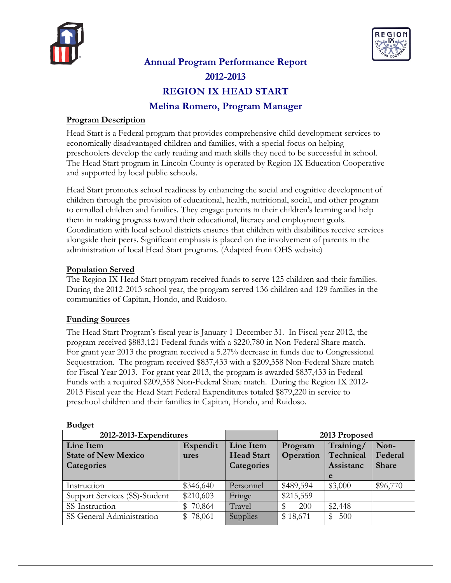



# **Annual Program Performance Report 2012-2013 REGION IX HEAD START Melina Romero, Program Manager**

# **Program Description**

Head Start is a Federal program that provides comprehensive child development services to economically disadvantaged children and families, with a special focus on helping preschoolers develop the early reading and math skills they need to be successful in school. The Head Start program in Lincoln County is operated by Region IX Education Cooperative and supported by local public schools.

Head Start promotes school readiness by enhancing the social and cognitive development of children through the provision of educational, health, nutritional, social, and other program to enrolled children and families. They engage parents in their children's learning and help them in making progress toward their educational, literacy and employment goals. Coordination with local school districts ensures that children with disabilities receive services alongside their peers. Significant emphasis is placed on the involvement of parents in the administration of local Head Start programs. (Adapted from OHS website)

# **Population Served**

The Region IX Head Start program received funds to serve 125 children and their families. During the 2012-2013 school year, the program served 136 children and 129 families in the communities of Capitan, Hondo, and Ruidoso.

# **Funding Sources**

The Head Start Program's fiscal year is January 1-December 31. In Fiscal year 2012, the program received \$883,121 Federal funds with a \$220,780 in Non-Federal Share match. For grant year 2013 the program received a 5.27% decrease in funds due to Congressional Sequestration. The program received \$837,433 with a \$209,358 Non-Federal Share match for Fiscal Year 2013. For grant year 2013, the program is awarded \$837,433 in Federal Funds with a required \$209,358 Non-Federal Share match. During the Region IX 2012- 2013 Fiscal year the Head Start Federal Expenditures totaled \$879,220 in service to preschool children and their families in Capitan, Hondo, and Ruidoso.

| nuugu                         |                        |                 |               |              |          |  |  |  |
|-------------------------------|------------------------|-----------------|---------------|--------------|----------|--|--|--|
| 2012-2013-Expenditures        |                        |                 | 2013 Proposed |              |          |  |  |  |
| Line Item                     | Line Item              | Program         | Training/     | Non-         |          |  |  |  |
| <b>State of New Mexico</b>    | <b>Head Start</b>      | Operation       | Technical     | Federal      |          |  |  |  |
| Categories                    | <b>Categories</b>      |                 | Assistanc     | <b>Share</b> |          |  |  |  |
|                               |                        |                 |               | e            |          |  |  |  |
| Instruction                   | \$346,640              | Personnel       | \$489,594     | \$3,000      | \$96,770 |  |  |  |
| Support Services (SS)-Student | \$210,603              | Fringe          | \$215,559     |              |          |  |  |  |
| SS-Instruction                | 70,864<br>$\mathbb{S}$ | Travel          | 200           | \$2,448      |          |  |  |  |
| SS General Administration     | 78,061<br>SS.          | <b>Supplies</b> | \$18,671      | 500<br>S     |          |  |  |  |

## $\mathbf{B}_{\mathbf{u}}$ *d* $\alpha$ et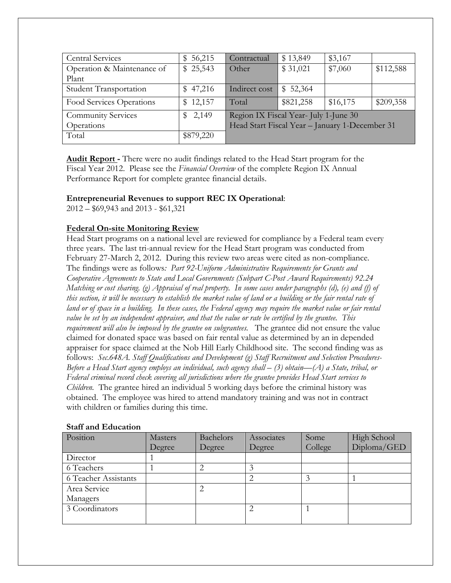| <b>Central Services</b>       | 56,215<br>SS. | Contractual                                    | \$13,849  | \$3,167  |           |
|-------------------------------|---------------|------------------------------------------------|-----------|----------|-----------|
| Operation & Maintenance of    | \$25,543      | Other                                          | \$31,021  | \$7,060  | \$112,588 |
| Plant                         |               |                                                |           |          |           |
| <b>Student Transportation</b> | \$47,216      | Indirect cost                                  | \$52,364  |          |           |
| Food Services Operations      | \$12,157      | Total                                          | \$821,258 | \$16,175 | \$209,358 |
| <b>Community Services</b>     | \$2,149       | Region IX Fiscal Year- July 1-June 30          |           |          |           |
| Operations                    |               | Head Start Fiscal Year - January 1-December 31 |           |          |           |
| Total                         | \$879,220     |                                                |           |          |           |

**Audit Report -** There were no audit findings related to the Head Start program for the Fiscal Year 2012. Please see the *Financial Overview* of the complete Region IX Annual Performance Report for complete grantee financial details.

#### **Entrepreneurial Revenues to support REC IX Operational**:

2012 – \$69,943 and 2013 - \$61,321

# **Federal On-site Monitoring Review**

Head Start programs on a national level are reviewed for compliance by a Federal team every three years. The last tri-annual review for the Head Start program was conducted from February 27-March 2, 2012. During this review two areas were cited as non-compliance. The findings were as follows*: Part 92-Uniform Administrative Requirements for Grants and Cooperative Agreements to State and Local Governments (Subpart C-Post Award Requirements) 92.24 Matching or cost sharing. (g) Appraisal of real property. In some cases under paragraphs (d), (e) and (f) of this section, it will be necessary to establish the market value of land or a building or the fair rental rate of land or of space in a building. In these cases, the Federal agency may require the market value or fair rental value be set by an independent appraiser, and that the value or rate be certified by the grantee. This requirement will also be imposed by the grantee on subgrantees.* The grantee did not ensure the value claimed for donated space was based on fair rental value as determined by an in depended appraiser for space claimed at the Nob Hill Early Childhood site. The second finding was as follows: *Sec.648A. Staff Qualifications and Development (g) Staff Recruitment and Selection Procedures-Before a Head Start agency employs an individual, such agency shall – (3) obtain—(A) a State, tribal, or Federal criminal record check covering all jurisdictions where the grantee provides Head Start services to Children.* The grantee hired an individual 5 working days before the criminal history was obtained. The employee was hired to attend mandatory training and was not in contract with children or families during this time.

| Position             | <b>Masters</b> | Bachelors | Associates | Some    | <b>High School</b> |
|----------------------|----------------|-----------|------------|---------|--------------------|
|                      | Degree         | Degree    | Degree     | College | Diploma/GED        |
| Director             |                |           |            |         |                    |
| 6 Teachers           |                |           |            |         |                    |
| 6 Teacher Assistants |                |           |            |         |                    |
| Area Service         |                |           |            |         |                    |
| Managers             |                |           |            |         |                    |
| 3 Coordinators       |                |           | 2          |         |                    |
|                      |                |           |            |         |                    |

#### **Staff and Education**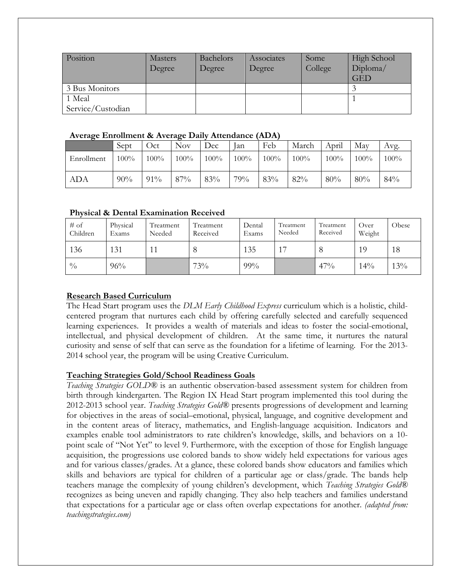| Position          | <b>Masters</b><br>Degree | Bachelors<br>Degree | Associates<br>Degree | Some<br>College | <b>High School</b><br>Diploma/<br><b>GED</b> |
|-------------------|--------------------------|---------------------|----------------------|-----------------|----------------------------------------------|
| 3 Bus Monitors    |                          |                     |                      |                 |                                              |
| 1 Meal            |                          |                     |                      |                 |                                              |
| Service/Custodian |                          |                     |                      |                 |                                              |

#### **Average Enrollment & Average Daily Attendance (ADA)**

| $\epsilon$ | Sept    | Oct     | O<br>Nov. | Dec     | lan  | Feb     | March   | April | Mav  | Avg.    |
|------------|---------|---------|-----------|---------|------|---------|---------|-------|------|---------|
| Enrollment | $100\%$ | $100\%$ | 100%      | $100\%$ | 100% | $100\%$ | $100\%$ | 100%  | 100% | $100\%$ |
| <b>ADA</b> | 90%     | 91%     | 87%       | 83%     | 79%  | 83%     | 82%     | 80%   | 80%  | 84%     |

## **Physical & Dental Examination Received**

| $#$ of<br>Children | Physical<br>Exams | Treatment<br>Needed | Treatment<br>Received | Dental<br>Exams | Treatment<br>Needed | Treatment<br>Received | Over<br>Weight | Obese |
|--------------------|-------------------|---------------------|-----------------------|-----------------|---------------------|-----------------------|----------------|-------|
| 136                | 131               |                     |                       | 135             | 17                  |                       | 19             | 18    |
| $\frac{0}{0}$      | 96%               |                     | 73%                   | 99%             |                     | 47%                   | 14%            | 13%   |

# **Research Based Curriculum**

The Head Start program uses the *DLM Early Childhood Express* curriculum which is a holistic, childcentered program that nurtures each child by offering carefully selected and carefully sequenced learning experiences. It provides a wealth of materials and ideas to foster the social-emotional, intellectual, and physical development of children. At the same time, it nurtures the natural curiosity and sense of self that can serve as the foundation for a lifetime of learning. For the 2013- 2014 school year, the program will be using Creative Curriculum.

## **Teaching Strategies Gold/School Readiness Goals**

*Teaching Strategies GOLD®* is an authentic observation-based assessment system for children from birth through kindergarten. The Region IX Head Start program implemented this tool during the 2012-2013 school year. *Teaching Strategies Gold®* presents progressions of development and learning for objectives in the areas of social–emotional, physical, language, and cognitive development and in the content areas of literacy, mathematics, and English-language acquisition. Indicators and examples enable tool administrators to rate children's knowledge, skills, and behaviors on a 10 point scale of "Not Yet" to level 9. Furthermore, with the exception of those for English language acquisition, the progressions use colored bands to show widely held expectations for various ages and for various classes/grades. At a glance, these colored bands show educators and families which skills and behaviors are typical for children of a particular age or class/grade. The bands help teachers manage the complexity of young children's development, which *Teaching Strategies Gold®*  recognizes as being uneven and rapidly changing. They also help teachers and families understand that expectations for a particular age or class often overlap expectations for another. *(adapted from: teachingstrategies.com)*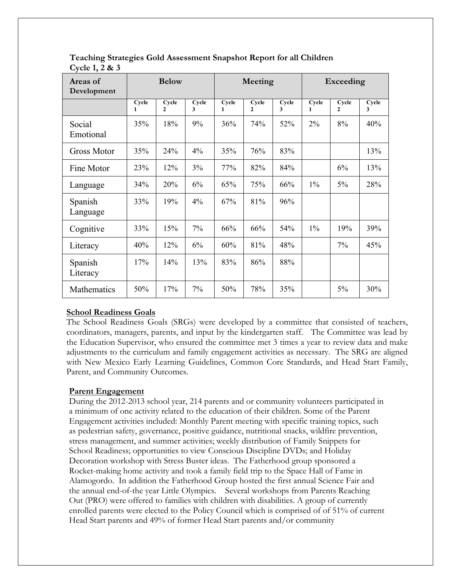| Areas of<br>Development |                       | <b>Below</b>          |            | Meeting               |                       |            |            | Exceeding             |            |  |
|-------------------------|-----------------------|-----------------------|------------|-----------------------|-----------------------|------------|------------|-----------------------|------------|--|
|                         | Cycle<br>$\mathbf{1}$ | Cycle<br>$\mathbf{2}$ | Cycle<br>3 | Cycle<br>$\mathbf{1}$ | Cycle<br>$\mathbf{2}$ | Cycle<br>3 | Cycle<br>1 | Cycle<br>$\mathbf{2}$ | Cycle<br>3 |  |
| Social<br>Emotional     | 35%                   | 18%                   | 9%         | 36%                   | 74%                   | 52%        | 2%         | 8%                    | 40%        |  |
| <b>Gross Motor</b>      | 35%                   | 24%                   | 4%         | 35%                   | 76%                   | 83%        |            |                       | 13%        |  |
| Fine Motor              | 23%                   | 12%                   | 3%         | 77%                   | 82%                   | 84%        |            | 6%                    | 13%        |  |
| Language                | 34%                   | 20%                   | 6%         | 65%                   | 75%                   | 66%        | $1\%$      | $5\%$                 | 28%        |  |
| Spanish<br>Language     | 33%                   | 19%                   | 4%         | 67%                   | 81%                   | 96%        |            |                       |            |  |
| Cognitive               | 33%                   | 15%                   | $7\%$      | 66%                   | 66%                   | 54%        | $1\%$      | 19%                   | 39%        |  |
| Literacy                | 40%                   | 12%                   | 6%         | 60%                   | 81%                   | 48%        |            | 7%                    | 45%        |  |
| Spanish<br>Literacy     | 17%                   | 14%                   | 13%        | 83%                   | 86%                   | 88%        |            |                       |            |  |
| Mathematics             | 50%                   | 17%                   | 7%         | 50%                   | 78%                   | 35%        |            | 5%                    | 30%        |  |

**Teaching Strategies Gold Assessment Snapshot Report for all Children Cycle 1, 2 & 3**

## **School Readiness Goals**

The School Readiness Goals (SRGs) were developed by a committee that consisted of teachers, coordinators, managers, parents, and input by the kindergarten staff. The Committee was lead by the Education Supervisor, who ensured the committee met 3 times a year to review data and make adjustments to the curriculum and family engagement activities as necessary. The SRG are aligned with New Mexico Early Learning Guidelines, Common Core Standards, and Head Start Family, Parent, and Community Outcomes.

## **Parent Engagement**

During the 2012-2013 school year, 214 parents and or community volunteers participated in a minimum of one activity related to the education of their children. Some of the Parent Engagement activities included: Monthly Parent meeting with specific training topics, such as pedestrian safety, governance, positive guidance, nutritional snacks, wildfire prevention, stress management, and summer activities; weekly distribution of Family Snippets for School Readiness; opportunities to view Conscious Discipline DVDs; and Holiday Decoration workshop with Stress Buster ideas. The Fatherhood group sponsored a Rocket-making home activity and took a family field trip to the Space Hall of Fame in Alamogordo. In addition the Fatherhood Group hosted the first annual Science Fair and the annual end-of-the year Little Olympics. Several workshops from Parents Reaching Out (PRO) were offered to families with children with disabilities. A group of currently enrolled parents were elected to the Policy Council which is comprised of of 51% of current Head Start parents and 49% of former Head Start parents and/or community